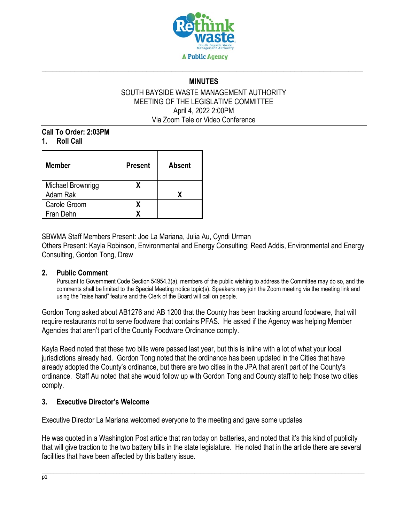

# **\_\_\_\_\_\_\_\_\_\_\_\_\_\_\_\_\_\_\_\_\_\_\_\_\_\_\_\_\_\_\_\_\_\_\_\_\_\_\_\_\_\_\_\_\_\_\_\_\_\_\_\_\_\_\_\_\_\_\_\_\_\_\_\_\_\_\_\_\_\_\_\_\_\_\_\_\_\_\_\_\_\_\_\_\_\_\_\_\_ MINUTES**

#### SOUTH BAYSIDE WASTE MANAGEMENT AUTHORITY MEETING OF THE LEGISLATIVE COMMITTEE April 4, 2022 2:00PM Via Zoom Tele or Video Conference

**Call To Order: 2:03PM 1. Roll Call** 

| <b>Member</b>     | <b>Present</b> | Absent |
|-------------------|----------------|--------|
| Michael Brownrigg |                |        |
| Adam Rak          |                |        |
| Carole Groom      |                |        |
| Fran Dehn         |                |        |

SBWMA Staff Members Present: Joe La Mariana, Julia Au, Cyndi Urman

Others Present: Kayla Robinson, Environmental and Energy Consulting; Reed Addis, Environmental and Energy Consulting, Gordon Tong, Drew

#### **2. Public Comment**

Pursuant to Government Code Section 54954.3(a), members of the public wishing to address the Committee may do so, and the comments shall be limited to the Special Meeting notice topic(s). Speakers may join the Zoom meeting via the meeting link and using the "raise hand" feature and the Clerk of the Board will call on people.

Gordon Tong asked about AB1276 and AB 1200 that the County has been tracking around foodware, that will require restaurants not to serve foodware that contains PFAS. He asked if the Agency was helping Member Agencies that aren't part of the County Foodware Ordinance comply.

Kayla Reed noted that these two bills were passed last year, but this is inline with a lot of what your local jurisdictions already had. Gordon Tong noted that the ordinance has been updated in the Cities that have already adopted the County's ordinance, but there are two cities in the JPA that aren't part of the County's ordinance. Staff Au noted that she would follow up with Gordon Tong and County staff to help those two cities comply.

### **3. Executive Director's Welcome**

Executive Director La Mariana welcomed everyone to the meeting and gave some updates

He was quoted in a Washington Post article that ran today on batteries, and noted that it's this kind of publicity that will give traction to the two battery bills in the state legislature. He noted that in the article there are several facilities that have been affected by this battery issue.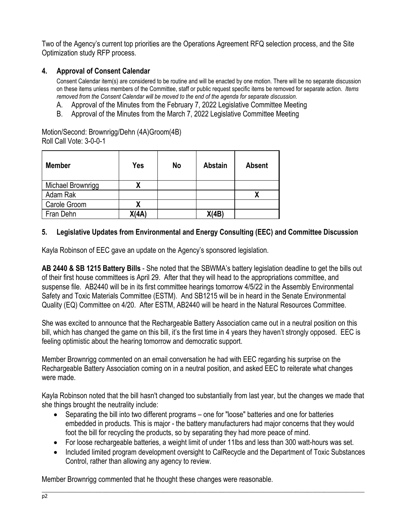Two of the Agency's current top priorities are the Operations Agreement RFQ selection process, and the Site Optimization study RFP process.

## **4. Approval of Consent Calendar**

Consent Calendar item(s) are considered to be routine and will be enacted by one motion. There will be no separate discussion on these items unless members of the Committee, staff or public request specific items be removed for separate action. *Items removed from the Consent Calendar will be moved to the end of the agenda for separate discussion*.

- A. Approval of the Minutes from the February 7, 2022 Legislative Committee Meeting
- B. Approval of the Minutes from the March 7, 2022 Legislative Committee Meeting

Motion/Second: Brownrigg/Dehn (4A)Groom(4B) Roll Call Vote: 3-0-0-1

| <b>Member</b>     | Yes   | <b>No</b> | <b>Abstain</b> | <b>Absent</b> |
|-------------------|-------|-----------|----------------|---------------|
| Michael Brownrigg | х     |           |                |               |
| Adam Rak          |       |           |                |               |
| Carole Groom      | χ     |           |                |               |
| Fran Dehn         | X(4A) |           | X(4B)          |               |

### **5. Legislative Updates from Environmental and Energy Consulting (EEC) and Committee Discussion**

Kayla Robinson of EEC gave an update on the Agency's sponsored legislation.

**AB 2440 & SB 1215 Battery Bills** - She noted that the SBWMA's battery legislation deadline to get the bills out of their first house committees is April 29. After that they will head to the appropriations committee, and suspense file. AB2440 will be in its first committee hearings tomorrow 4/5/22 in the Assembly Environmental Safety and Toxic Materials Committee (ESTM). And SB1215 will be in heard in the Senate Environmental Quality (EQ) Committee on 4/20. After ESTM, AB2440 will be heard in the Natural Resources Committee.

She was excited to announce that the Rechargeable Battery Association came out in a neutral position on this bill, which has changed the game on this bill, it's the first time in 4 years they haven't strongly opposed. EEC is feeling optimistic about the hearing tomorrow and democratic support.

Member Brownrigg commented on an email conversation he had with EEC regarding his surprise on the Rechargeable Battery Association coming on in a neutral position, and asked EEC to reiterate what changes were made.

Kayla Robinson noted that the bill hasn't changed too substantially from last year, but the changes we made that she things brought the neutrality include:

- Separating the bill into two different programs one for "loose" batteries and one for batteries embedded in products. This is major - the battery manufacturers had major concerns that they would foot the bill for recycling the products, so by separating they had more peace of mind.
- For loose rechargeable batteries, a weight limit of under 11lbs and less than 300 watt-hours was set.
- Included limited program development oversight to CalRecycle and the Department of Toxic Substances Control, rather than allowing any agency to review.

Member Brownrigg commented that he thought these changes were reasonable.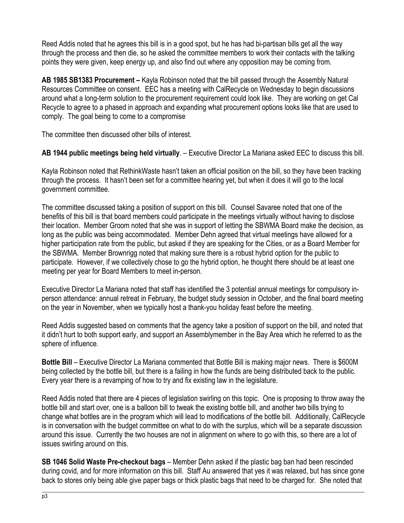Reed Addis noted that he agrees this bill is in a good spot, but he has had bi-partisan bills get all the way through the process and then die, so he asked the committee members to work their contacts with the talking points they were given, keep energy up, and also find out where any opposition may be coming from.

**AB 1985 SB1383 Procurement –** Kayla Robinson noted that the bill passed through the Assembly Natural Resources Committee on consent. EEC has a meeting with CalRecycle on Wednesday to begin discussions around what a long-term solution to the procurement requirement could look like. They are working on get Cal Recycle to agree to a phased in approach and expanding what procurement options looks like that are used to comply. The goal being to come to a compromise

The committee then discussed other bills of interest.

**AB 1944 public meetings being held virtually**. – Executive Director La Mariana asked EEC to discuss this bill.

Kayla Robinson noted that RethinkWaste hasn't taken an official position on the bill, so they have been tracking through the process. It hasn't been set for a committee hearing yet, but when it does it will go to the local government committee.

The committee discussed taking a position of support on this bill. Counsel Savaree noted that one of the benefits of this bill is that board members could participate in the meetings virtually without having to disclose their location. Member Groom noted that she was in support of letting the SBWMA Board make the decision, as long as the public was being accommodated. Member Dehn agreed that virtual meetings have allowed for a higher participation rate from the public, but asked if they are speaking for the Cities, or as a Board Member for the SBWMA. Member Brownrigg noted that making sure there is a robust hybrid option for the public to participate. However, if we collectively chose to go the hybrid option, he thought there should be at least one meeting per year for Board Members to meet in-person.

Executive Director La Mariana noted that staff has identified the 3 potential annual meetings for compulsory inperson attendance: annual retreat in February, the budget study session in October, and the final board meeting on the year in November, when we typically host a thank-you holiday feast before the meeting.

Reed Addis suggested based on comments that the agency take a position of support on the bill, and noted that it didn't hurt to both support early, and support an Assemblymember in the Bay Area which he referred to as the sphere of influence.

**Bottle Bill** – Executive Director La Mariana commented that Bottle Bill is making major news. There is \$600M being collected by the bottle bill, but there is a failing in how the funds are being distributed back to the public. Every year there is a revamping of how to try and fix existing law in the legislature.

Reed Addis noted that there are 4 pieces of legislation swirling on this topic. One is proposing to throw away the bottle bill and start over, one is a balloon bill to tweak the existing bottle bill, and another two bills trying to change what bottles are in the program which will lead to modifications of the bottle bill. Additionally, CalRecycle is in conversation with the budget committee on what to do with the surplus, which will be a separate discussion around this issue. Currently the two houses are not in alignment on where to go with this, so there are a lot of issues swirling around on this.

**SB 1046 Solid Waste Pre-checkout bags** – Member Dehn asked if the plastic bag ban had been rescinded during covid, and for more information on this bill. Staff Au answered that yes it was relaxed, but has since gone back to stores only being able give paper bags or thick plastic bags that need to be charged for. She noted that